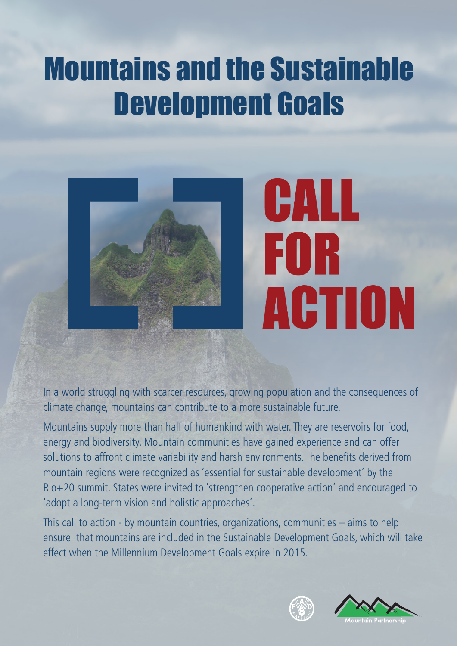# Mountains and the Sustainable Development Goals



In a world struggling with scarcer resources, growing population and the consequences of climate change, mountains can contribute to a more sustainable future.

Mountains supply more than half of humankind with water. They are reservoirs for food, energy and biodiversity. Mountain communities have gained experience and can offer solutions to affront climate variability and harsh environments. The benefits derived from mountain regions were recognized as 'essential for sustainable development' by the Rio+20 summit. States were invited to 'strengthen cooperative action' and encouraged to 'adopt a long-term vision and holistic approaches'.

This call to action - by mountain countries, organizations, communities – aims to help ensure that mountains are included in the Sustainable Development Goals, which will take effect when the Millennium Development Goals expire in 2015.



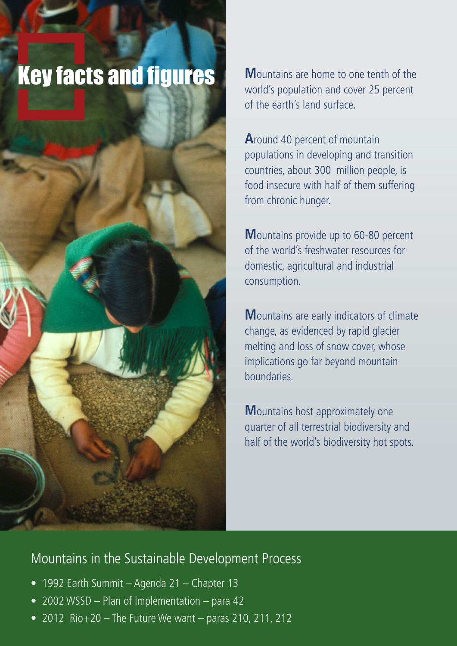## **Key facts and figures Mountains are home to one tenth of the**

world's population and cover 25 percent of the earth's land surface.

**A**round 40 percent of mountain populations in developing and transition countries, about 300 million people, is food insecure with half of them suffering from chronic hunger.

**M**ountains provide up to 60-80 percent of the world's freshwater resources for domestic, agricultural and industrial consumption.

**M**ountains are early indicators of climate change, as evidenced by rapid glacier melting and loss of snow cover, whose implications go far beyond mountain boundaries.

**M**ountains host approximately one quarter of all terrestrial biodiversity and half of the world's biodiversity hot spots.

### Mountains in the Sustainable Development Process

- 1992 Earth Summit Agenda 21 Chapter 13
- 2002 WSSD Plan of Implementation para 42
- 2012 Rio $+20$  The Future We want paras 210, 211, 212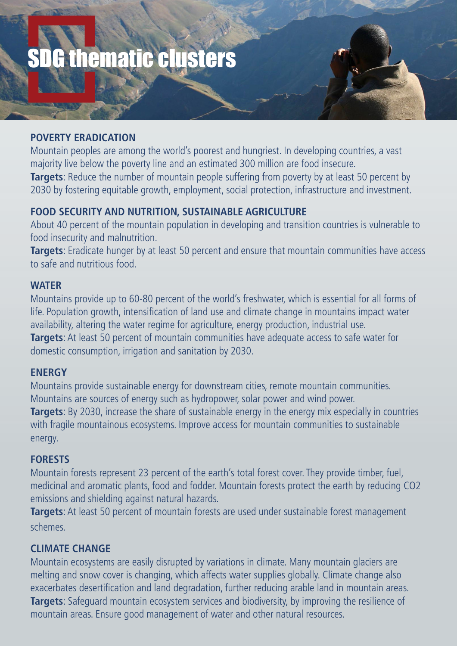# SDG thematic clusters

#### **POVERTY ERADICATION**

Mountain peoples are among the world's poorest and hungriest. In developing countries, a vast majority live below the poverty line and an estimated 300 million are food insecure. **Targets**: Reduce the number of mountain people suffering from poverty by at least 50 percent by 2030 by fostering equitable growth, employment, social protection, infrastructure and investment.

#### **FOOD SECURITY AND NUTRITION, SUSTAINABLE AGRICULTURE**

About 40 percent of the mountain population in developing and transition countries is vulnerable to food insecurity and malnutrition.

**Targets**: Eradicate hunger by at least 50 percent and ensure that mountain communities have access to safe and nutritious food.

#### **WATER**

Mountains provide up to 60-80 percent of the world's freshwater, which is essential for all forms of life. Population growth, intensification of land use and climate change in mountains impact water availability, altering the water regime for agriculture, energy production, industrial use. **Targets**: At least 50 percent of mountain communities have adequate access to safe water for domestic consumption, irrigation and sanitation by 2030.

#### **ENERGY**

Mountains provide sustainable energy for downstream cities, remote mountain communities. Mountains are sources of energy such as hydropower, solar power and wind power. **Targets**: By 2030, increase the share of sustainable energy in the energy mix especially in countries with fragile mountainous ecosystems. Improve access for mountain communities to sustainable energy.

#### **FORESTS**

Mountain forests represent 23 percent of the earth's total forest cover. They provide timber, fuel, medicinal and aromatic plants, food and fodder. Mountain forests protect the earth by reducing CO2 emissions and shielding against natural hazards.

**Targets**: At least 50 percent of mountain forests are used under sustainable forest management schemes.

#### **CLIMATE CHANGE**

Mountain ecosystems are easily disrupted by variations in climate. Many mountain glaciers are melting and snow cover is changing, which affects water supplies globally. Climate change also exacerbates desertification and land degradation, further reducing arable land in mountain areas. **Targets**: Safeguard mountain ecosystem services and biodiversity, by improving the resilience of mountain areas. Ensure good management of water and other natural resources.